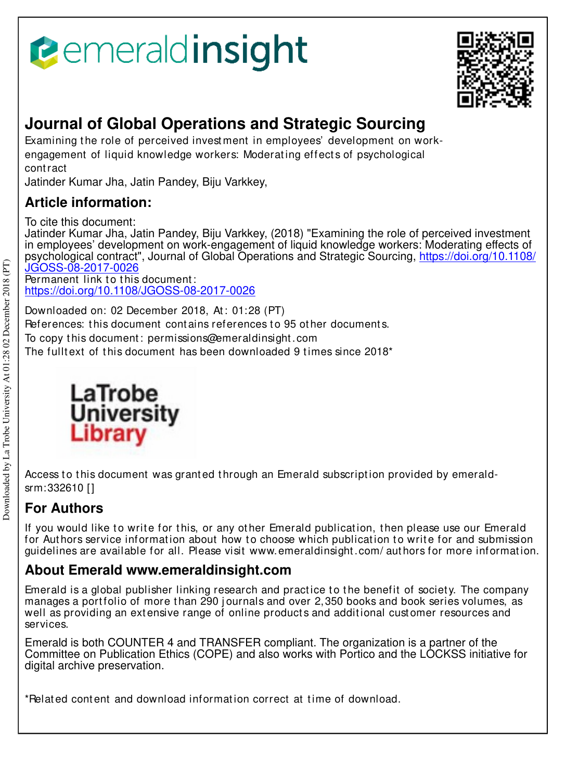# emeraldinsight



## **Journal of Global Operations and Strategic Sourcing**

Examining the role of perceived investment in employees' development on workengagement of liquid knowledge workers: Moderat ing effect s of psychological cont ract

Jatinder Kumar Jha, Jatin Pandey, Biju Varkkey,

## **Article information:**

To cite this document:

Jatinder Kumar Jha, Jatin Pandey, Biju Varkkey, (2018) "Examining the role of perceived investment in employees' development on work-engagement of liquid knowledge workers: Moderating effects of psychological contract", Journal of Global Operations and Strategic Sourcing, https://doi.org/10.1108/ JGOSS-08-2017-0026

Permanent link to this document: https://doi.org/10.1108/JGOSS-08-2017-0026

Downloaded on: 02 December 2018, At : 01:28 (PT) References: t his document cont ains references t o 95 ot her document s. To copy t his document : permissions@emeraldinsight .com The fulltext of this document has been downloaded 9 times since  $2018<sup>*</sup>$ 

# LaTrobe **University** Library

Access to this document was granted through an Emerald subscription provided by emeraldsrm:332610 []

## **For Authors**

If you would like to write for this, or any other Emerald publication, then please use our Emerald for Authors service information about how to choose which publication to write for and submission guidelines are available for all. Please visit www.emeraldinsight .com/ aut hors for more informat ion.

## **About Emerald www.emeraldinsight.com**

Emerald is a global publisher linking research and practice to the benefit of society. The company manages a portfolio of more than 290 journals and over 2,350 books and book series volumes, as well as providing an extensive range of online products and additional customer resources and services.

Emerald is both COUNTER 4 and TRANSFER compliant. The organization is a partner of the Committee on Publication Ethics (COPE) and also works with Portico and the LOCKSS initiative for digital archive preservation.

\*Related content and download information correct at time of download.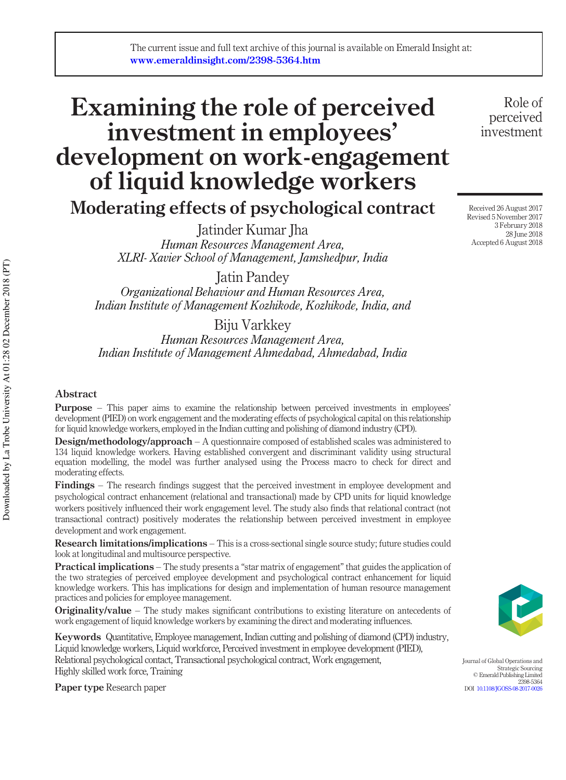# Examining the role of perceived investment in employees' development on work-engagement of liquid knowledge workers Moderating effects of psychological contract

Jatinder Kumar Jha Human Resources Management Area, XLRI- Xavier School of Management, Jamshedpur, India

Jatin Pandey

Organizational Behaviour and Human Resources Area, Indian Institute of Management Kozhikode, Kozhikode, India, and

## Biju Varkkey

Human Resources Management Area, Indian Institute of Management Ahmedabad, Ahmedabad, India

#### Abstract

Purpose – This paper aims to examine the relationship between perceived investments in employees' development (PIED) on work engagement and the moderating effects of psychological capital on this relationship for liquid knowledge workers, employed in the Indian cutting and polishing of diamond industry (CPD).

**Design/methodology/approach** – A questionnaire composed of established scales was administered to 134 liquid knowledge workers. Having established convergent and discriminant validity using structural equation modelling, the model was further analysed using the Process macro to check for direct and moderating effects.

Findings – The research findings suggest that the perceived investment in employee development and psychological contract enhancement (relational and transactional) made by CPD units for liquid knowledge workers positively influenced their work engagement level. The study also finds that relational contract (not transactional contract) positively moderates the relationship between perceived investment in employee development and work engagement.

Research limitations/implications – This is a cross-sectional single source study; future studies could look at longitudinal and multisource perspective.

**Practical implications** – The study presents a "star matrix of engagement" that guides the application of the two strategies of perceived employee development and psychological contract enhancement for liquid knowledge workers. This has implications for design and implementation of human resource management practices and policies for employee management.

**Originality/value** – The study makes significant contributions to existing literature on antecedents of work engagement of liquid knowledge workers by examining the direct and moderating influences.

Keywords Quantitative, Employee management, Indian cutting and polishing of diamond (CPD) industry, Liquid knowledge workers, Liquid workforce, Perceived investment in employee development (PIED), Relational psychological contact, Transactional psychological contract, Work engagement, Highly skilled work force, Training

Journal of Global Operations and Strategic Sourcing © Emerald Publishing Limited 2398-5364 DOI 10.1108/JGOSS-08-2017-0026

Paper type Research paper

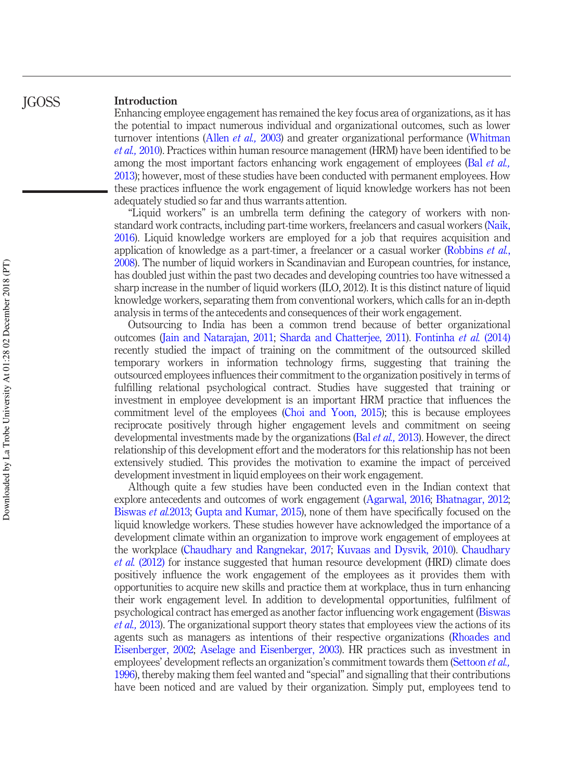#### Introduction **IGOSS**

Enhancing employee engagement has remained the key focus area of organizations, as it has the potential to impact numerous individual and organizational outcomes, such as lower turnover intentions (Allen *et al.*, 2003) and greater organizational performance (Whitman et al., 2010). Practices within human resource management (HRM) have been identified to be among the most important factors enhancing work engagement of employees (Bal *et al.*, 2013); however, most of these studies have been conducted with permanent employees. How these practices influence the work engagement of liquid knowledge workers has not been adequately studied so far and thus warrants attention.

"Liquid workers" is an umbrella term defining the category of workers with nonstandard work contracts, including part-time workers, freelancers and casual workers (Naik, 2016). Liquid knowledge workers are employed for a job that requires acquisition and application of knowledge as a part-timer, a freelancer or a casual worker (Robbins et al., 2008). The number of liquid workers in Scandinavian and European countries, for instance, has doubled just within the past two decades and developing countries too have witnessed a sharp increase in the number of liquid workers (ILO, 2012). It is this distinct nature of liquid knowledge workers, separating them from conventional workers, which calls for an in-depth analysis in terms of the antecedents and consequences of their work engagement.

Outsourcing to India has been a common trend because of better organizational outcomes (Jain and Natarajan, 2011; Sharda and Chatterjee, 2011). Fontinha et al. (2014) recently studied the impact of training on the commitment of the outsourced skilled temporary workers in information technology firms, suggesting that training the outsourced employees influences their commitment to the organization positively in terms of fulfilling relational psychological contract. Studies have suggested that training or investment in employee development is an important HRM practice that influences the commitment level of the employees (Choi and Yoon, 2015); this is because employees reciprocate positively through higher engagement levels and commitment on seeing developmental investments made by the organizations (Bal *et al.*, 2013). However, the direct relationship of this development effort and the moderators for this relationship has not been extensively studied. This provides the motivation to examine the impact of perceived development investment in liquid employees on their work engagement.

Although quite a few studies have been conducted even in the Indian context that explore antecedents and outcomes of work engagement (Agarwal, 2016; Bhatnagar, 2012; Biswas et al.2013; Gupta and Kumar, 2015), none of them have specifically focused on the liquid knowledge workers. These studies however have acknowledged the importance of a development climate within an organization to improve work engagement of employees at the workplace (Chaudhary and Rangnekar, 2017; Kuvaas and Dysvik, 2010). Chaudhary et al. (2012) for instance suggested that human resource development (HRD) climate does positively influence the work engagement of the employees as it provides them with opportunities to acquire new skills and practice them at workplace, thus in turn enhancing their work engagement level. In addition to developmental opportunities, fulfilment of psychological contract has emerged as another factor influencing work engagement (Biswas et al., 2013). The organizational support theory states that employees view the actions of its agents such as managers as intentions of their respective organizations (Rhoades and Eisenberger, 2002; Aselage and Eisenberger, 2003). HR practices such as investment in employees' development reflects an organization's commitment towards them (Settoon *et al.*, 1996), thereby making them feel wanted and "special" and signalling that their contributions have been noticed and are valued by their organization. Simply put, employees tend to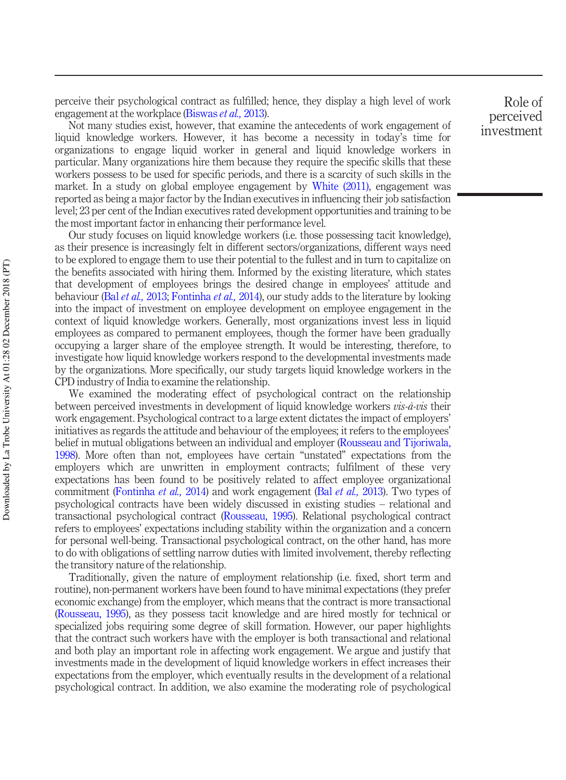perceive their psychological contract as fulfilled; hence, they display a high level of work engagement at the workplace (Biswas *et al.*, 2013).

Not many studies exist, however, that examine the antecedents of work engagement of liquid knowledge workers. However, it has become a necessity in today's time for organizations to engage liquid worker in general and liquid knowledge workers in particular. Many organizations hire them because they require the specific skills that these workers possess to be used for specific periods, and there is a scarcity of such skills in the market. In a study on global employee engagement by White (2011), engagement was reported as being a major factor by the Indian executives in influencing their job satisfaction level; 23 per cent of the Indian executives rated development opportunities and training to be the most important factor in enhancing their performance level.

Our study focuses on liquid knowledge workers (i.e. those possessing tacit knowledge), as their presence is increasingly felt in different sectors/organizations, different ways need to be explored to engage them to use their potential to the fullest and in turn to capitalize on the benefits associated with hiring them. Informed by the existing literature, which states that development of employees brings the desired change in employees' attitude and behaviour (Bal et al., 2013; Fontinha et al., 2014), our study adds to the literature by looking into the impact of investment on employee development on employee engagement in the context of liquid knowledge workers. Generally, most organizations invest less in liquid employees as compared to permanent employees, though the former have been gradually occupying a larger share of the employee strength. It would be interesting, therefore, to investigate how liquid knowledge workers respond to the developmental investments made by the organizations. More specifically, our study targets liquid knowledge workers in the CPD industry of India to examine the relationship.

We examined the moderating effect of psychological contract on the relationship between perceived investments in development of liquid knowledge workers *vis-à-vis* their work engagement. Psychological contract to a large extent dictates the impact of employers' initiatives as regards the attitude and behaviour of the employees; it refers to the employees' belief in mutual obligations between an individual and employer (Rousseau and Tijoriwala, 1998). More often than not, employees have certain "unstated" expectations from the employers which are unwritten in employment contracts; fulfilment of these very expectations has been found to be positively related to affect employee organizational commitment (Fontinha *et al.*, 2014) and work engagement (Bal *et al.*, 2013). Two types of psychological contracts have been widely discussed in existing studies – relational and transactional psychological contract (Rousseau, 1995). Relational psychological contract refers to employees' expectations including stability within the organization and a concern for personal well-being. Transactional psychological contract, on the other hand, has more to do with obligations of settling narrow duties with limited involvement, thereby reflecting the transitory nature of the relationship.

Traditionally, given the nature of employment relationship (i.e. fixed, short term and routine), non-permanent workers have been found to have minimal expectations (they prefer economic exchange) from the employer, which means that the contract is more transactional (Rousseau, 1995), as they possess tacit knowledge and are hired mostly for technical or specialized jobs requiring some degree of skill formation. However, our paper highlights that the contract such workers have with the employer is both transactional and relational and both play an important role in affecting work engagement. We argue and justify that investments made in the development of liquid knowledge workers in effect increases their expectations from the employer, which eventually results in the development of a relational psychological contract. In addition, we also examine the moderating role of psychological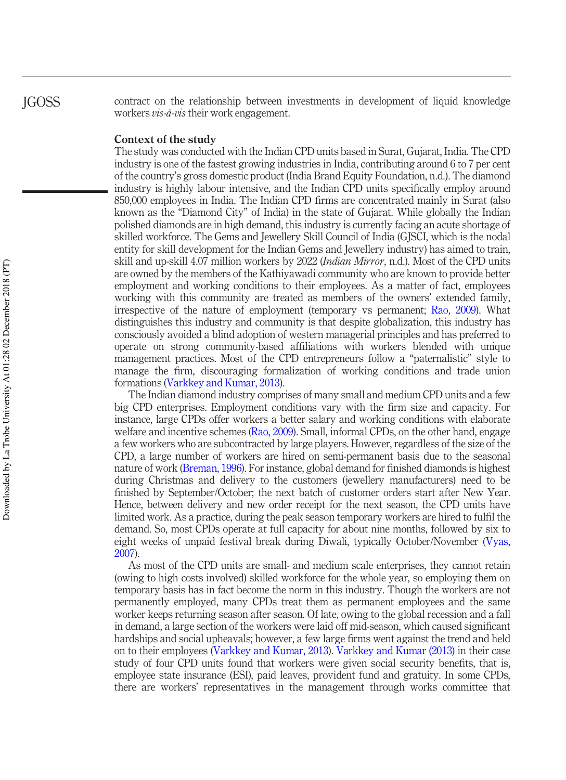**IGOSS** 

contract on the relationship between investments in development of liquid knowledge workers  $vis-\hat{a}-vis$  their work engagement.

#### Context of the study

The study was conducted with the Indian CPD units based in Surat, Gujarat, India. The CPD industry is one of the fastest growing industries in India, contributing around 6 to 7 per cent of the country's gross domestic product (India Brand Equity Foundation, n.d.). The diamond industry is highly labour intensive, and the Indian CPD units specifically employ around 850,000 employees in India. The Indian CPD firms are concentrated mainly in Surat (also known as the "Diamond City" of India) in the state of Gujarat. While globally the Indian polished diamonds are in high demand, this industry is currently facing an acute shortage of skilled workforce. The Gems and Jewellery Skill Council of India (GJSCI, which is the nodal entity for skill development for the Indian Gems and Jewellery industry) has aimed to train, skill and up-skill 4.07 million workers by 2022 (Indian Mirror, n.d.). Most of the CPD units are owned by the members of the Kathiyawadi community who are known to provide better employment and working conditions to their employees. As a matter of fact, employees working with this community are treated as members of the owners' extended family, irrespective of the nature of employment (temporary vs permanent; Rao, 2009). What distinguishes this industry and community is that despite globalization, this industry has consciously avoided a blind adoption of western managerial principles and has preferred to operate on strong community-based affiliations with workers blended with unique management practices. Most of the CPD entrepreneurs follow a "paternalistic" style to manage the firm, discouraging formalization of working conditions and trade union formations (Varkkey and Kumar, 2013).

The Indian diamond industry comprises of many small and medium CPD units and a few big CPD enterprises. Employment conditions vary with the firm size and capacity. For instance, large CPDs offer workers a better salary and working conditions with elaborate welfare and incentive schemes (Rao, 2009). Small, informal CPDs, on the other hand, engage a few workers who are subcontracted by large players. However, regardless of the size of the CPD, a large number of workers are hired on semi-permanent basis due to the seasonal nature of work (Breman, 1996). For instance, global demand for finished diamonds is highest during Christmas and delivery to the customers (jewellery manufacturers) need to be finished by September/October; the next batch of customer orders start after New Year. Hence, between delivery and new order receipt for the next season, the CPD units have limited work. As a practice, during the peak season temporary workers are hired to fulfil the demand. So, most CPDs operate at full capacity for about nine months, followed by six to eight weeks of unpaid festival break during Diwali, typically October/November (Vyas, 2007).

As most of the CPD units are small- and medium scale enterprises, they cannot retain (owing to high costs involved) skilled workforce for the whole year, so employing them on temporary basis has in fact become the norm in this industry. Though the workers are not permanently employed, many CPDs treat them as permanent employees and the same worker keeps returning season after season. Of late, owing to the global recession and a fall in demand, a large section of the workers were laid off mid-season, which caused significant hardships and social upheavals; however, a few large firms went against the trend and held on to their employees (Varkkey and Kumar, 2013). Varkkey and Kumar (2013) in their case study of four CPD units found that workers were given social security benefits, that is, employee state insurance (ESI), paid leaves, provident fund and gratuity. In some CPDs, there are workers' representatives in the management through works committee that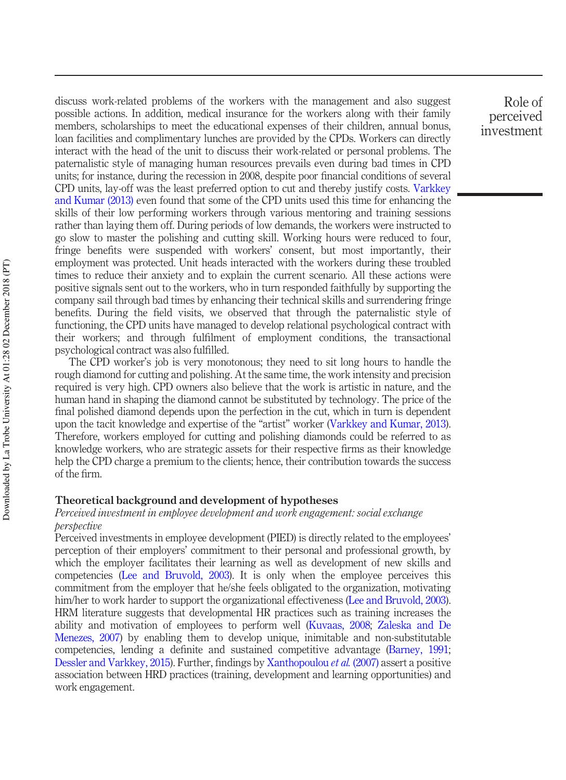discuss work-related problems of the workers with the management and also suggest possible actions. In addition, medical insurance for the workers along with their family members, scholarships to meet the educational expenses of their children, annual bonus, loan facilities and complimentary lunches are provided by the CPDs. Workers can directly interact with the head of the unit to discuss their work-related or personal problems. The paternalistic style of managing human resources prevails even during bad times in CPD units; for instance, during the recession in 2008, despite poor financial conditions of several CPD units, lay-off was the least preferred option to cut and thereby justify costs. Varkkey and Kumar (2013) even found that some of the CPD units used this time for enhancing the skills of their low performing workers through various mentoring and training sessions rather than laying them off. During periods of low demands, the workers were instructed to go slow to master the polishing and cutting skill. Working hours were reduced to four, fringe benefits were suspended with workers' consent, but most importantly, their employment was protected. Unit heads interacted with the workers during these troubled times to reduce their anxiety and to explain the current scenario. All these actions were positive signals sent out to the workers, who in turn responded faithfully by supporting the company sail through bad times by enhancing their technical skills and surrendering fringe benefits. During the field visits, we observed that through the paternalistic style of functioning, the CPD units have managed to develop relational psychological contract with their workers; and through fulfilment of employment conditions, the transactional psychological contract was also fulfilled.

The CPD worker's job is very monotonous; they need to sit long hours to handle the rough diamond for cutting and polishing. At the same time, the work intensity and precision required is very high. CPD owners also believe that the work is artistic in nature, and the human hand in shaping the diamond cannot be substituted by technology. The price of the final polished diamond depends upon the perfection in the cut, which in turn is dependent upon the tacit knowledge and expertise of the "artist" worker (Varkkey and Kumar, 2013). Therefore, workers employed for cutting and polishing diamonds could be referred to as knowledge workers, who are strategic assets for their respective firms as their knowledge help the CPD charge a premium to the clients; hence, their contribution towards the success of the firm.

#### Theoretical background and development of hypotheses

## Perceived investment in employee development and work engagement: social exchange perspective

Perceived investments in employee development (PIED) is directly related to the employees' perception of their employers' commitment to their personal and professional growth, by which the employer facilitates their learning as well as development of new skills and competencies (Lee and Bruvold, 2003). It is only when the employee perceives this commitment from the employer that he/she feels obligated to the organization, motivating him/her to work harder to support the organizational effectiveness (Lee and Bruvold, 2003). HRM literature suggests that developmental HR practices such as training increases the ability and motivation of employees to perform well (Kuvaas, 2008; Zaleska and De Menezes, 2007) by enabling them to develop unique, inimitable and non-substitutable competencies, lending a definite and sustained competitive advantage (Barney, 1991; Dessler and Varkkey, 2015). Further, findings by Xanthopoulou *et al.* (2007) assert a positive association between HRD practices (training, development and learning opportunities) and work engagement.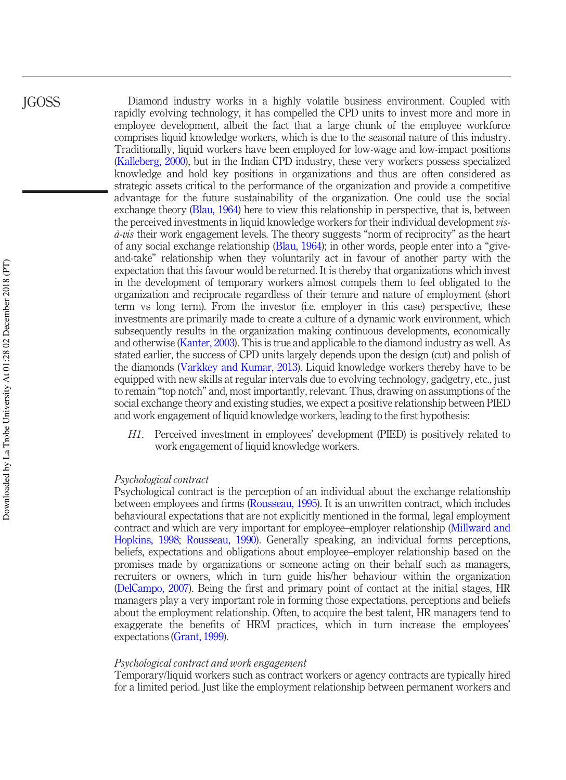**IGOSS** 

Diamond industry works in a highly volatile business environment. Coupled with rapidly evolving technology, it has compelled the CPD units to invest more and more in employee development, albeit the fact that a large chunk of the employee workforce comprises liquid knowledge workers, which is due to the seasonal nature of this industry. Traditionally, liquid workers have been employed for low-wage and low-impact positions (Kalleberg, 2000), but in the Indian CPD industry, these very workers possess specialized knowledge and hold key positions in organizations and thus are often considered as strategic assets critical to the performance of the organization and provide a competitive advantage for the future sustainability of the organization. One could use the social exchange theory (Blau, 1964) here to view this relationship in perspective, that is, between the perceived investments in liquid knowledge workers for their individual development vis- $\dot{a}$ -vis their work engagement levels. The theory suggests "norm of reciprocity" as the heart of any social exchange relationship (Blau, 1964); in other words, people enter into a "giveand-take" relationship when they voluntarily act in favour of another party with the expectation that this favour would be returned. It is thereby that organizations which invest in the development of temporary workers almost compels them to feel obligated to the organization and reciprocate regardless of their tenure and nature of employment (short term vs long term). From the investor (i.e. employer in this case) perspective, these investments are primarily made to create a culture of a dynamic work environment, which subsequently results in the organization making continuous developments, economically and otherwise (Kanter, 2003). This is true and applicable to the diamond industry as well. As stated earlier, the success of CPD units largely depends upon the design (cut) and polish of the diamonds (Varkkey and Kumar, 2013). Liquid knowledge workers thereby have to be equipped with new skills at regular intervals due to evolving technology, gadgetry, etc., just to remain "top notch" and, most importantly, relevant. Thus, drawing on assumptions of the social exchange theory and existing studies, we expect a positive relationship between PIED and work engagement of liquid knowledge workers, leading to the first hypothesis:

H1. Perceived investment in employees' development (PIED) is positively related to work engagement of liquid knowledge workers.

#### Psychological contract

Psychological contract is the perception of an individual about the exchange relationship between employees and firms (Rousseau, 1995). It is an unwritten contract, which includes behavioural expectations that are not explicitly mentioned in the formal, legal employment contract and which are very important for employee–employer relationship (Millward and Hopkins, 1998; Rousseau, 1990). Generally speaking, an individual forms perceptions, beliefs, expectations and obligations about employee–employer relationship based on the promises made by organizations or someone acting on their behalf such as managers, recruiters or owners, which in turn guide his/her behaviour within the organization (DelCampo, 2007). Being the first and primary point of contact at the initial stages, HR managers play a very important role in forming those expectations, perceptions and beliefs about the employment relationship. Often, to acquire the best talent, HR managers tend to exaggerate the benefits of HRM practices, which in turn increase the employees' expectations (Grant, 1999).

#### Psychological contract and work engagement

Temporary/liquid workers such as contract workers or agency contracts are typically hired for a limited period. Just like the employment relationship between permanent workers and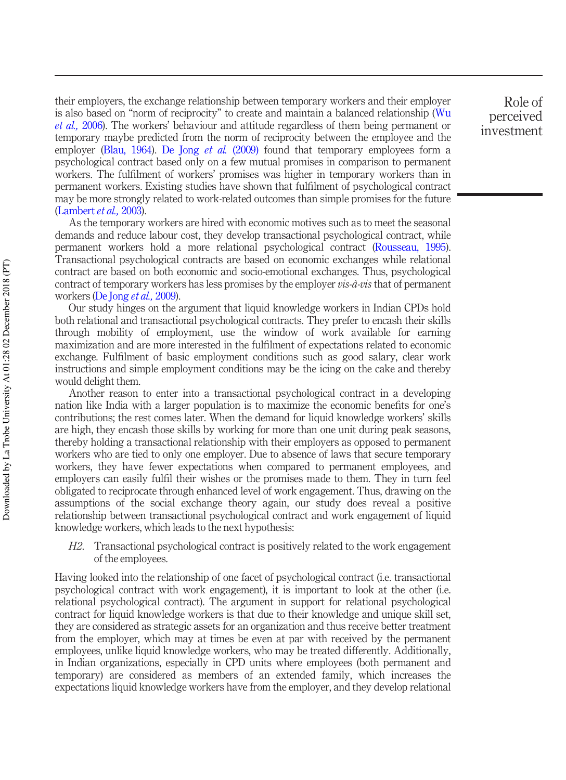their employers, the exchange relationship between temporary workers and their employer is also based on "norm of reciprocity" to create and maintain a balanced relationship (Wu et al., 2006). The workers' behaviour and attitude regardless of them being permanent or temporary maybe predicted from the norm of reciprocity between the employee and the employer (Blau, 1964). De Jong et al.  $(2009)$  found that temporary employees form a psychological contract based only on a few mutual promises in comparison to permanent workers. The fulfilment of workers' promises was higher in temporary workers than in permanent workers. Existing studies have shown that fulfilment of psychological contract may be more strongly related to work-related outcomes than simple promises for the future (Lambert et al., 2003).

As the temporary workers are hired with economic motives such as to meet the seasonal demands and reduce labour cost, they develop transactional psychological contract, while permanent workers hold a more relational psychological contract (Rousseau, 1995). Transactional psychological contracts are based on economic exchanges while relational contract are based on both economic and socio-emotional exchanges. Thus, psychological contract of temporary workers has less promises by the employer  $vis\cdot\dot{a}\cdot\dot{v}\cdot\dot{s}$  that of permanent workers (De Jong et al., 2009).

Our study hinges on the argument that liquid knowledge workers in Indian CPDs hold both relational and transactional psychological contracts. They prefer to encash their skills through mobility of employment, use the window of work available for earning maximization and are more interested in the fulfilment of expectations related to economic exchange. Fulfilment of basic employment conditions such as good salary, clear work instructions and simple employment conditions may be the icing on the cake and thereby would delight them.

Another reason to enter into a transactional psychological contract in a developing nation like India with a larger population is to maximize the economic benefits for one's contributions; the rest comes later. When the demand for liquid knowledge workers' skills are high, they encash those skills by working for more than one unit during peak seasons, thereby holding a transactional relationship with their employers as opposed to permanent workers who are tied to only one employer. Due to absence of laws that secure temporary workers, they have fewer expectations when compared to permanent employees, and employers can easily fulfil their wishes or the promises made to them. They in turn feel obligated to reciprocate through enhanced level of work engagement. Thus, drawing on the assumptions of the social exchange theory again, our study does reveal a positive relationship between transactional psychological contract and work engagement of liquid knowledge workers, which leads to the next hypothesis:

H2. Transactional psychological contract is positively related to the work engagement of the employees.

Having looked into the relationship of one facet of psychological contract (i.e. transactional psychological contract with work engagement), it is important to look at the other (i.e. relational psychological contract). The argument in support for relational psychological contract for liquid knowledge workers is that due to their knowledge and unique skill set, they are considered as strategic assets for an organization and thus receive better treatment from the employer, which may at times be even at par with received by the permanent employees, unlike liquid knowledge workers, who may be treated differently. Additionally, in Indian organizations, especially in CPD units where employees (both permanent and temporary) are considered as members of an extended family, which increases the expectations liquid knowledge workers have from the employer, and they develop relational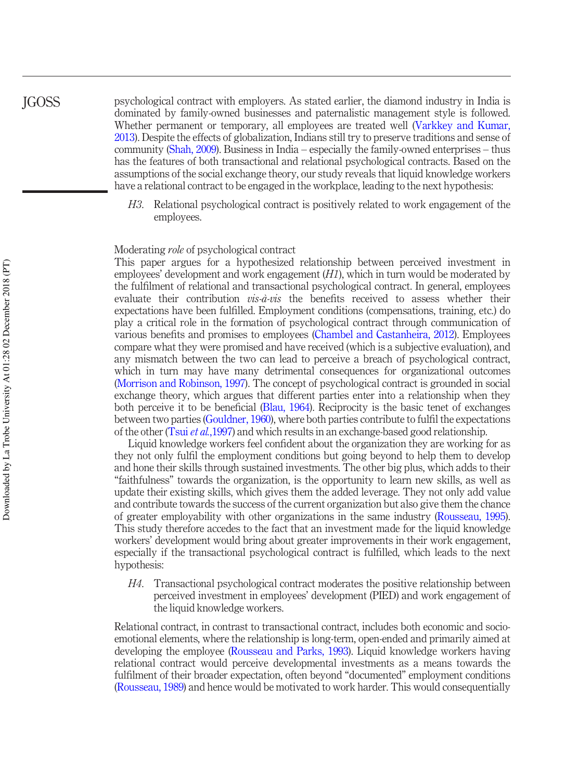psychological contract with employers. As stated earlier, the diamond industry in India is dominated by family-owned businesses and paternalistic management style is followed. Whether permanent or temporary, all employees are treated well (Varkkey and Kumar, 2013). Despite the effects of globalization, Indians still try to preserve traditions and sense of community (Shah, 2009). Business in India – especially the family-owned enterprises – thus has the features of both transactional and relational psychological contracts. Based on the assumptions of the social exchange theory, our study reveals that liquid knowledge workers have a relational contract to be engaged in the workplace, leading to the next hypothesis:

H3. Relational psychological contract is positively related to work engagement of the employees.

#### Moderating role of psychological contract

This paper argues for a hypothesized relationship between perceived investment in employees' development and work engagement  $(H1)$ , which in turn would be moderated by the fulfilment of relational and transactional psychological contract. In general, employees evaluate their contribution  $vis\cdot\hat{a}-vis$  the benefits received to assess whether their expectations have been fulfilled. Employment conditions (compensations, training, etc.) do play a critical role in the formation of psychological contract through communication of various benefits and promises to employees (Chambel and Castanheira, 2012). Employees compare what they were promised and have received (which is a subjective evaluation), and any mismatch between the two can lead to perceive a breach of psychological contract, which in turn may have many detrimental consequences for organizational outcomes (Morrison and Robinson, 1997). The concept of psychological contract is grounded in social exchange theory, which argues that different parties enter into a relationship when they both perceive it to be beneficial (Blau, 1964). Reciprocity is the basic tenet of exchanges between two parties (Gouldner, 1960), where both parties contribute to fulfil the expectations of the other (Tsui et al.,1997) and which results in an exchange-based good relationship.

Liquid knowledge workers feel confident about the organization they are working for as they not only fulfil the employment conditions but going beyond to help them to develop and hone their skills through sustained investments. The other big plus, which adds to their "faithfulness" towards the organization, is the opportunity to learn new skills, as well as update their existing skills, which gives them the added leverage. They not only add value and contribute towards the success of the current organization but also give them the chance of greater employability with other organizations in the same industry (Rousseau, 1995). This study therefore accedes to the fact that an investment made for the liquid knowledge workers' development would bring about greater improvements in their work engagement, especially if the transactional psychological contract is fulfilled, which leads to the next hypothesis:

H4. Transactional psychological contract moderates the positive relationship between perceived investment in employees' development (PIED) and work engagement of the liquid knowledge workers.

Relational contract, in contrast to transactional contract, includes both economic and socioemotional elements, where the relationship is long-term, open-ended and primarily aimed at developing the employee (Rousseau and Parks, 1993). Liquid knowledge workers having relational contract would perceive developmental investments as a means towards the fulfilment of their broader expectation, often beyond "documented" employment conditions (Rousseau, 1989) and hence would be motivated to work harder. This would consequentially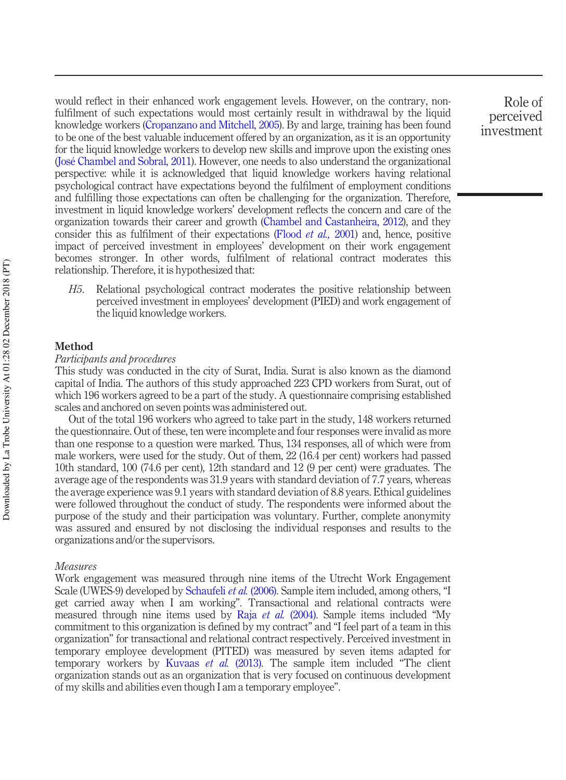would reflect in their enhanced work engagement levels. However, on the contrary, nonfulfilment of such expectations would most certainly result in withdrawal by the liquid knowledge workers (Cropanzano and Mitchell, 2005). By and large, training has been found to be one of the best valuable inducement offered by an organization, as it is an opportunity for the liquid knowledge workers to develop new skills and improve upon the existing ones (José Chambel and Sobral, 2011). However, one needs to also understand the organizational perspective: while it is acknowledged that liquid knowledge workers having relational psychological contract have expectations beyond the fulfilment of employment conditions and fulfilling those expectations can often be challenging for the organization. Therefore, investment in liquid knowledge workers' development reflects the concern and care of the organization towards their career and growth (Chambel and Castanheira, 2012), and they consider this as fulfilment of their expectations (Flood et al., 2001) and, hence, positive impact of perceived investment in employees' development on their work engagement becomes stronger. In other words, fulfilment of relational contract moderates this relationship. Therefore, it is hypothesized that:

H5. Relational psychological contract moderates the positive relationship between perceived investment in employees' development (PIED) and work engagement of the liquid knowledge workers.

#### Method

#### Participants and procedures

This study was conducted in the city of Surat, India. Surat is also known as the diamond capital of India. The authors of this study approached 223 CPD workers from Surat, out of which 196 workers agreed to be a part of the study. A questionnaire comprising established scales and anchored on seven points was administered out.

Out of the total 196 workers who agreed to take part in the study, 148 workers returned the questionnaire. Out of these, ten were incomplete and four responses were invalid as more than one response to a question were marked. Thus, 134 responses, all of which were from male workers, were used for the study. Out of them, 22 (16.4 per cent) workers had passed 10th standard, 100 (74.6 per cent), 12th standard and 12 (9 per cent) were graduates. The average age of the respondents was 31.9 years with standard deviation of 7.7 years, whereas the average experience was 9.1 years with standard deviation of 8.8 years. Ethical guidelines were followed throughout the conduct of study. The respondents were informed about the purpose of the study and their participation was voluntary. Further, complete anonymity was assured and ensured by not disclosing the individual responses and results to the organizations and/or the supervisors.

#### Measures

Work engagement was measured through nine items of the Utrecht Work Engagement Scale (UWES-9) developed by Schaufeli *et al.* (2006). Sample item included, among others, "I get carried away when I am working". Transactional and relational contracts were measured through nine items used by Raja *et al.* (2004). Sample items included "My commitment to this organization is defined by my contract" and "I feel part of a team in this organization" for transactional and relational contract respectively. Perceived investment in temporary employee development (PITED) was measured by seven items adapted for temporary workers by Kuvaas *et al.* (2013). The sample item included "The client organization stands out as an organization that is very focused on continuous development of my skills and abilities even though I am a temporary employee".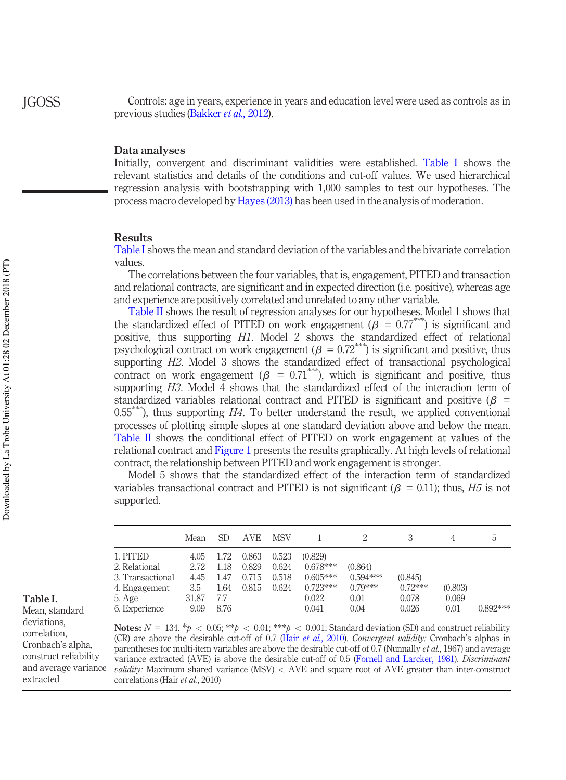**IGOSS** 

Controls: age in years, experience in years and education level were used as controls as in previous studies (Bakker et al., 2012).

#### Data analyses

Initially, convergent and discriminant validities were established. Table I shows the relevant statistics and details of the conditions and cut-off values. We used hierarchical regression analysis with bootstrapping with 1,000 samples to test our hypotheses. The process macro developed by Hayes (2013) has been used in the analysis of moderation.

#### **Results**

Table I shows the mean and standard deviation of the variables and the bivariate correlation values.

The correlations between the four variables, that is, engagement, PITED and transaction and relational contracts, are significant and in expected direction (i.e. positive), whereas age and experience are positively correlated and unrelated to any other variable.

Table II shows the result of regression analyses for our hypotheses. Model 1 shows that the standardized effect of PITED on work engagement ( $\beta = 0.77^{***}$ ) is significant and positive, thus supporting H1. Model 2 shows the standardized effect of relational psychological contract on work engagement ( $\beta = 0.72^{***}$ ) is significant and positive, thus supporting H2. Model 3 shows the standardized effect of transactional psychological contract on work engagement ( $\beta$  = 0.71<sup>\*\*\*</sup>), which is significant and positive, thus supporting H3. Model 4 shows that the standardized effect of the interaction term of standardized variables relational contract and PITED is significant and positive ( $\beta$  =  $0.55***$ , thus supporting  $H4$ . To better understand the result, we applied conventional processes of plotting simple slopes at one standard deviation above and below the mean. Table II shows the conditional effect of PITED on work engagement at values of the relational contract and Figure 1 presents the results graphically. At high levels of relational contract, the relationship between PITED and work engagement is stronger.

Model 5 shows that the standardized effect of the interaction term of standardized variables transactional contract and PITED is not significant ( $\beta = 0.11$ ); thus, H<sub>5</sub> is not supported.

|                  | Mean  | SD   | <b>AVE</b> | <b>MSV</b> |            |            |           |          | ۰.         |
|------------------|-------|------|------------|------------|------------|------------|-----------|----------|------------|
| 1. PITED         | 4.05  | 1.72 | 0.863      | 0.523      | (0.829)    |            |           |          |            |
| 2. Relational    | 2.72  | 1.18 | 0.829      | 0.624      | $0.678***$ | (0.864)    |           |          |            |
| 3. Transactional | 4.45  | 1.47 | 0.715      | 0.518      | $0.605***$ | $0.594***$ | (0.845)   |          |            |
| 4. Engagement    | 3.5   | 1.64 | 0.815      | 0.624      | $0.723***$ | $0.79***$  | $0.72***$ | (0.803)  |            |
| 5. Age           | 31.87 | 7.7  |            |            | 0.022      | 0.01       | $-0.078$  | $-0.069$ |            |
| 6. Experience    | 9.09  | 8.76 |            |            | 0.041      | 0.04       | 0.026     | 0.01     | $0.892***$ |

Notes:  $N = 134$ .  ${}^*\!p < 0.05$ ;  ${}^{**}\!p < 0.01$ ;  ${}^{***}\!p < 0.001$ ; Standard deviation (SD) and construct reliability (CR) are above the desirable cut-off of 0.7 (Hair et al., 2010). Convergent validity: Cronbach's alphas in parentheses for multi-item variables are above the desirable cut-off of 0.7 (Nunnally et al., 1967) and average variance extracted (AVE) is above the desirable cut-off of 0.5 (Fornell and Larcker, 1981). Discriminant *validity:* Maximum shared variance  $(MSV) < AVE$  and square root of AVE greater than inter-construct correlations (Hair et al., 2010)

Table I.

Mean, standard deviations, correlation, Cronbach's alpha, construct reliability and average variance extracted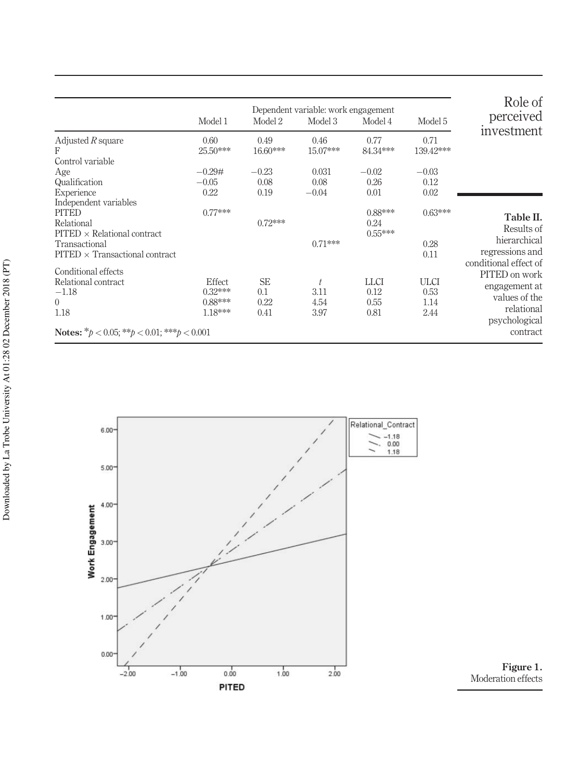|                                                                                                                                                    | Model 1                                       | Model 2                          | Dependent variable: work engagement<br>Model 3 | Model 4                             | Model 5                             | Role of<br>perceived                                                                                    |
|----------------------------------------------------------------------------------------------------------------------------------------------------|-----------------------------------------------|----------------------------------|------------------------------------------------|-------------------------------------|-------------------------------------|---------------------------------------------------------------------------------------------------------|
| Adjusted $R$ square<br>F                                                                                                                           | 0.60<br>$25.50***$                            | 0.49<br>16.60***                 | 0.46<br>15.07***                               | 0.77<br>84.34***                    | 0.71<br>139.42***                   | investment                                                                                              |
| Control variable<br>Age<br>Qualification<br>Experience                                                                                             | $-0.29#$<br>$-0.05$<br>0.22                   | $-0.23$<br>0.08<br>0.19          | 0.031<br>0.08<br>$-0.04$                       | $-0.02$<br>0.26<br>0.01             | $-0.03$<br>0.12<br>0.02             |                                                                                                         |
| Independent variables<br><b>PITED</b><br>Relational<br>$PITED \times Relational contract$<br>Transactional<br>$PITED \times Transational contract$ | $0.77***$                                     | $0.72***$                        | $0.71***$                                      | $0.88***$<br>0.24<br>$0.55***$      | $0.63***$<br>0.28<br>0.11           | Table II.<br>Results of<br>hierarchical<br>regressions and                                              |
| Conditional effects<br>Relational contract<br>$-1.18$<br>$\Omega$<br>1.18                                                                          | Effect<br>$0.32***$<br>$0.88***$<br>$1.18***$ | <b>SE</b><br>0.1<br>0.22<br>0.41 | t.<br>3.11<br>4.54<br>3.97                     | <b>LLCI</b><br>0.12<br>0.55<br>0.81 | <b>ULCI</b><br>0.53<br>1.14<br>2.44 | conditional effect of<br>PITED on work<br>engagement at<br>values of the<br>relational<br>psychological |



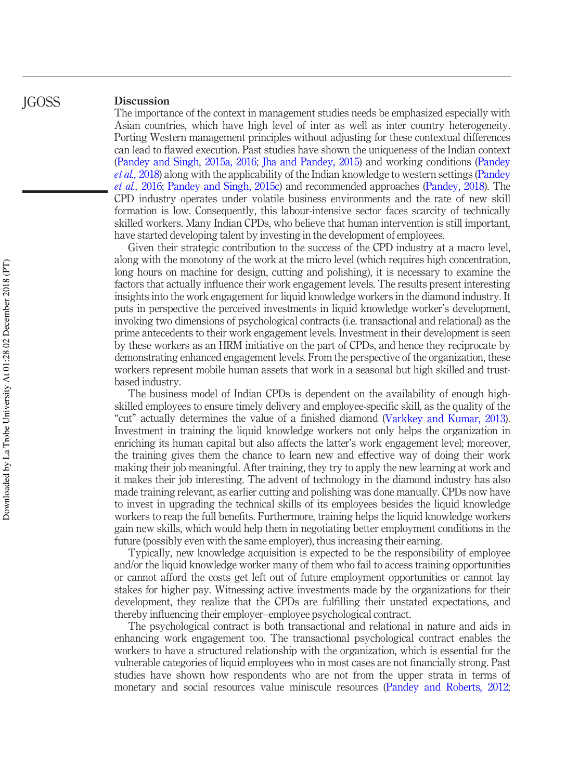#### **Discussion IGOSS**

The importance of the context in management studies needs be emphasized especially with Asian countries, which have high level of inter as well as inter country heterogeneity. Porting Western management principles without adjusting for these contextual differences can lead to flawed execution. Past studies have shown the uniqueness of the Indian context (Pandey and Singh, 2015a, 2016; Jha and Pandey, 2015) and working conditions (Pandey et al., 2018) along with the applicability of the Indian knowledge to western settings (Pandey et al., 2016; Pandey and Singh, 2015c) and recommended approaches (Pandey, 2018). The CPD industry operates under volatile business environments and the rate of new skill formation is low. Consequently, this labour-intensive sector faces scarcity of technically skilled workers. Many Indian CPDs, who believe that human intervention is still important, have started developing talent by investing in the development of employees.

Given their strategic contribution to the success of the CPD industry at a macro level, along with the monotony of the work at the micro level (which requires high concentration, long hours on machine for design, cutting and polishing), it is necessary to examine the factors that actually influence their work engagement levels. The results present interesting insights into the work engagement for liquid knowledge workers in the diamond industry. It puts in perspective the perceived investments in liquid knowledge worker's development, invoking two dimensions of psychological contracts (i.e. transactional and relational) as the prime antecedents to their work engagement levels. Investment in their development is seen by these workers as an HRM initiative on the part of CPDs, and hence they reciprocate by demonstrating enhanced engagement levels. From the perspective of the organization, these workers represent mobile human assets that work in a seasonal but high skilled and trustbased industry.

The business model of Indian CPDs is dependent on the availability of enough highskilled employees to ensure timely delivery and employee-specific skill, as the quality of the "cut" actually determines the value of a finished diamond (Varkkey and Kumar, 2013). Investment in training the liquid knowledge workers not only helps the organization in enriching its human capital but also affects the latter's work engagement level; moreover, the training gives them the chance to learn new and effective way of doing their work making their job meaningful. After training, they try to apply the new learning at work and it makes their job interesting. The advent of technology in the diamond industry has also made training relevant, as earlier cutting and polishing was done manually. CPDs now have to invest in upgrading the technical skills of its employees besides the liquid knowledge workers to reap the full benefits. Furthermore, training helps the liquid knowledge workers gain new skills, which would help them in negotiating better employment conditions in the future (possibly even with the same employer), thus increasing their earning.

Typically, new knowledge acquisition is expected to be the responsibility of employee and/or the liquid knowledge worker many of them who fail to access training opportunities or cannot afford the costs get left out of future employment opportunities or cannot lay stakes for higher pay. Witnessing active investments made by the organizations for their development, they realize that the CPDs are fulfilling their unstated expectations, and thereby influencing their employer–employee psychological contract.

The psychological contract is both transactional and relational in nature and aids in enhancing work engagement too. The transactional psychological contract enables the workers to have a structured relationship with the organization, which is essential for the vulnerable categories of liquid employees who in most cases are not financially strong. Past studies have shown how respondents who are not from the upper strata in terms of monetary and social resources value miniscule resources (Pandey and Roberts, 2012;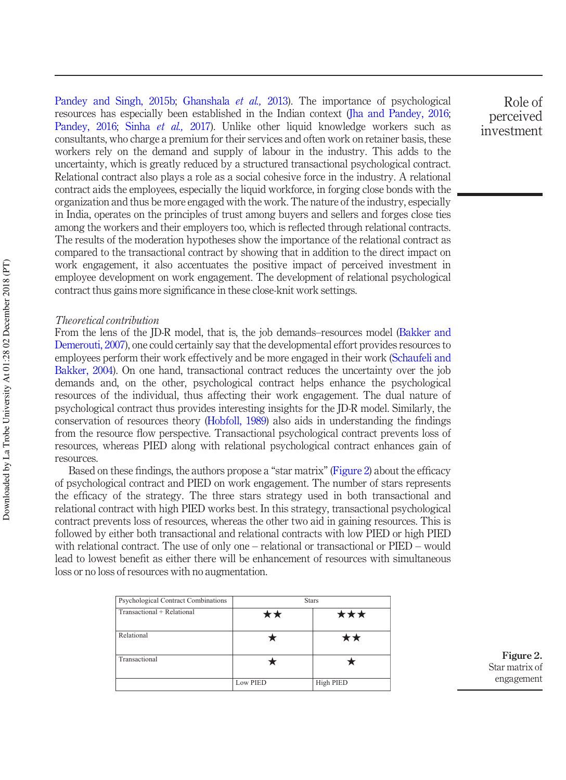Pandey and Singh, 2015b; Ghanshala et al., 2013). The importance of psychological resources has especially been established in the Indian context (Jha and Pandey, 2016; Pandey, 2016; Sinha et al., 2017). Unlike other liquid knowledge workers such as consultants, who charge a premium for their services and often work on retainer basis, these workers rely on the demand and supply of labour in the industry. This adds to the uncertainty, which is greatly reduced by a structured transactional psychological contract. Relational contract also plays a role as a social cohesive force in the industry. A relational contract aids the employees, especially the liquid workforce, in forging close bonds with the organization and thus be more engaged with the work. The nature of the industry, especially in India, operates on the principles of trust among buyers and sellers and forges close ties among the workers and their employers too, which is reflected through relational contracts. The results of the moderation hypotheses show the importance of the relational contract as compared to the transactional contract by showing that in addition to the direct impact on work engagement, it also accentuates the positive impact of perceived investment in employee development on work engagement. The development of relational psychological contract thus gains more significance in these close-knit work settings.

#### Theoretical contribution

From the lens of the JD-R model, that is, the job demands–resources model (Bakker and Demerouti, 2007), one could certainly say that the developmental effort provides resources to employees perform their work effectively and be more engaged in their work (Schaufeli and Bakker, 2004). On one hand, transactional contract reduces the uncertainty over the job demands and, on the other, psychological contract helps enhance the psychological resources of the individual, thus affecting their work engagement. The dual nature of psychological contract thus provides interesting insights for the JD-R model. Similarly, the conservation of resources theory (Hobfoll, 1989) also aids in understanding the findings from the resource flow perspective. Transactional psychological contract prevents loss of resources, whereas PIED along with relational psychological contract enhances gain of resources.

Based on these findings, the authors propose a "star matrix" (Figure 2) about the efficacy of psychological contract and PIED on work engagement. The number of stars represents the efficacy of the strategy. The three stars strategy used in both transactional and relational contract with high PIED works best. In this strategy, transactional psychological contract prevents loss of resources, whereas the other two aid in gaining resources. This is followed by either both transactional and relational contracts with low PIED or high PIED with relational contract. The use of only one – relational or transactional or PIED – would lead to lowest benefit as either there will be enhancement of resources with simultaneous loss or no loss of resources with no augmentation.

| Psychological Contract Combinations | <b>Stars</b> |           |
|-------------------------------------|--------------|-----------|
| Transactional + Relational          |              | ***       |
| Relational                          |              | **        |
| Transactional                       |              |           |
|                                     | Low PIED     | High PIED |

Figure 2. Star matrix of engagement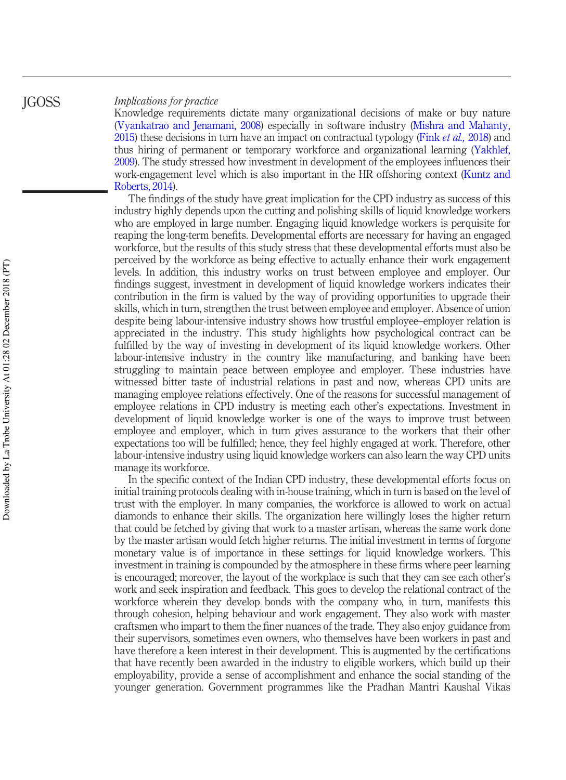### Implications for practice

Knowledge requirements dictate many organizational decisions of make or buy nature (Vyankatrao and Jenamani, 2008) especially in software industry (Mishra and Mahanty, 2015) these decisions in turn have an impact on contractual typology (Fink *et al.*, 2018) and thus hiring of permanent or temporary workforce and organizational learning (Yakhlef, 2009). The study stressed how investment in development of the employees influences their work-engagement level which is also important in the HR offshoring context (Kuntz and Roberts, 2014).

The findings of the study have great implication for the CPD industry as success of this industry highly depends upon the cutting and polishing skills of liquid knowledge workers who are employed in large number. Engaging liquid knowledge workers is perquisite for reaping the long-term benefits. Developmental efforts are necessary for having an engaged workforce, but the results of this study stress that these developmental efforts must also be perceived by the workforce as being effective to actually enhance their work engagement levels. In addition, this industry works on trust between employee and employer. Our findings suggest, investment in development of liquid knowledge workers indicates their contribution in the firm is valued by the way of providing opportunities to upgrade their skills, which in turn, strengthen the trust between employee and employer. Absence of union despite being labour-intensive industry shows how trustful employee–employer relation is appreciated in the industry. This study highlights how psychological contract can be fulfilled by the way of investing in development of its liquid knowledge workers. Other labour-intensive industry in the country like manufacturing, and banking have been struggling to maintain peace between employee and employer. These industries have witnessed bitter taste of industrial relations in past and now, whereas CPD units are managing employee relations effectively. One of the reasons for successful management of employee relations in CPD industry is meeting each other's expectations. Investment in development of liquid knowledge worker is one of the ways to improve trust between employee and employer, which in turn gives assurance to the workers that their other expectations too will be fulfilled; hence, they feel highly engaged at work. Therefore, other labour-intensive industry using liquid knowledge workers can also learn the way CPD units manage its workforce.

In the specific context of the Indian CPD industry, these developmental efforts focus on initial training protocols dealing with in-house training, which in turn is based on the level of trust with the employer. In many companies, the workforce is allowed to work on actual diamonds to enhance their skills. The organization here willingly loses the higher return that could be fetched by giving that work to a master artisan, whereas the same work done by the master artisan would fetch higher returns. The initial investment in terms of forgone monetary value is of importance in these settings for liquid knowledge workers. This investment in training is compounded by the atmosphere in these firms where peer learning is encouraged; moreover, the layout of the workplace is such that they can see each other's work and seek inspiration and feedback. This goes to develop the relational contract of the workforce wherein they develop bonds with the company who, in turn, manifests this through cohesion, helping behaviour and work engagement. They also work with master craftsmen who impart to them the finer nuances of the trade. They also enjoy guidance from their supervisors, sometimes even owners, who themselves have been workers in past and have therefore a keen interest in their development. This is augmented by the certifications that have recently been awarded in the industry to eligible workers, which build up their employability, provide a sense of accomplishment and enhance the social standing of the younger generation. Government programmes like the Pradhan Mantri Kaushal Vikas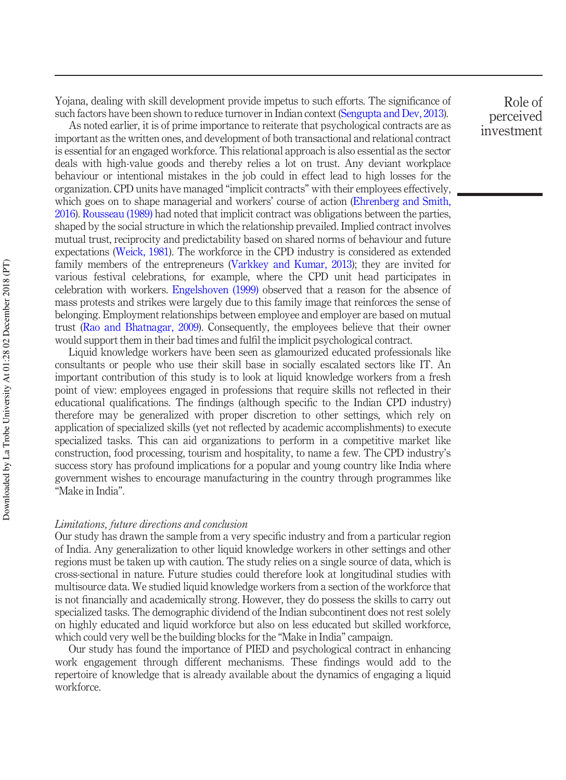Yojana, dealing with skill development provide impetus to such efforts. The significance of such factors have been shown to reduce turnover in Indian context (Sengupta and Dev, 2013).

As noted earlier, it is of prime importance to reiterate that psychological contracts are as important as the written ones, and development of both transactional and relational contract is essential for an engaged workforce. This relational approach is also essential as the sector deals with high-value goods and thereby relies a lot on trust. Any deviant workplace behaviour or intentional mistakes in the job could in effect lead to high losses for the organization. CPD units have managed "implicit contracts" with their employees effectively, which goes on to shape managerial and workers' course of action (Ehrenberg and Smith, 2016). Rousseau (1989) had noted that implicit contract was obligations between the parties, shaped by the social structure in which the relationship prevailed. Implied contract involves mutual trust, reciprocity and predictability based on shared norms of behaviour and future expectations (Weick, 1981). The workforce in the CPD industry is considered as extended family members of the entrepreneurs (Varkkey and Kumar, 2013); they are invited for various festival celebrations, for example, where the CPD unit head participates in celebration with workers. Engelshoven (1999) observed that a reason for the absence of mass protests and strikes were largely due to this family image that reinforces the sense of belonging. Employment relationships between employee and employer are based on mutual trust (Rao and Bhatnagar, 2009). Consequently, the employees believe that their owner would support them in their bad times and fulfil the implicit psychological contract.

Liquid knowledge workers have been seen as glamourized educated professionals like consultants or people who use their skill base in socially escalated sectors like IT. An important contribution of this study is to look at liquid knowledge workers from a fresh point of view: employees engaged in professions that require skills not reflected in their educational qualifications. The findings (although specific to the Indian CPD industry) therefore may be generalized with proper discretion to other settings, which rely on application of specialized skills (yet not reflected by academic accomplishments) to execute specialized tasks. This can aid organizations to perform in a competitive market like construction, food processing, tourism and hospitality, to name a few. The CPD industry's success story has profound implications for a popular and young country like India where government wishes to encourage manufacturing in the country through programmes like "Make in India".

#### Limitations, future directions and conclusion

Our study has drawn the sample from a very specific industry and from a particular region of India. Any generalization to other liquid knowledge workers in other settings and other regions must be taken up with caution. The study relies on a single source of data, which is cross-sectional in nature. Future studies could therefore look at longitudinal studies with multisource data. We studied liquid knowledge workers from a section of the workforce that is not financially and academically strong. However, they do possess the skills to carry out specialized tasks. The demographic dividend of the Indian subcontinent does not rest solely on highly educated and liquid workforce but also on less educated but skilled workforce, which could very well be the building blocks for the "Make in India" campaign.

Our study has found the importance of PIED and psychological contract in enhancing work engagement through different mechanisms. These findings would add to the repertoire of knowledge that is already available about the dynamics of engaging a liquid workforce.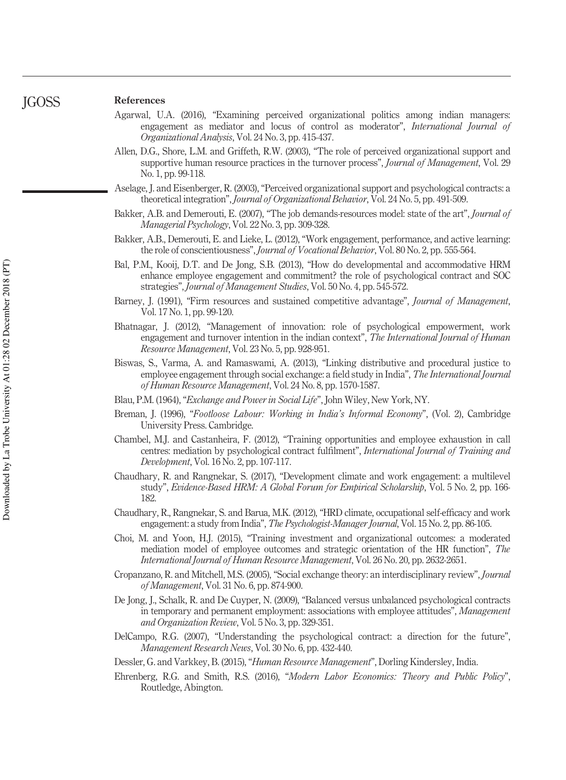#### References **IGOSS**

- Agarwal, U.A. (2016), "Examining perceived organizational politics among indian managers: engagement as mediator and locus of control as moderator", International Journal of Organizational Analysis, Vol. 24 No. 3, pp. 415-437.
- Allen, D.G., Shore, L.M. and Griffeth, R.W. (2003), "The role of perceived organizational support and supportive human resource practices in the turnover process", Journal of Management, Vol. 29 No. 1, pp. 99-118.
- Aselage, J. and Eisenberger, R. (2003), "Perceived organizational support and psychological contracts: a theoretical integration", Journal of Organizational Behavior, Vol. 24 No. 5, pp. 491-509.
- Bakker, A.B. and Demerouti, E. (2007), "The job demands-resources model: state of the art", Journal of Managerial Psychology, Vol. 22 No. 3, pp. 309-328.
- Bakker, A.B., Demerouti, E. and Lieke, L. (2012), "Work engagement, performance, and active learning: the role of conscientiousness", Journal of Vocational Behavior, Vol. 80 No. 2, pp. 555-564.
- Bal, P.M., Kooij, D.T. and De Jong, S.B. (2013), "How do developmental and accommodative HRM enhance employee engagement and commitment? the role of psychological contract and SOC strategies", Journal of Management Studies, Vol. 50 No. 4, pp. 545-572.
- Barney, J. (1991), "Firm resources and sustained competitive advantage", *Journal of Management*, Vol. 17 No. 1, pp. 99-120.
- Bhatnagar, J. (2012), "Management of innovation: role of psychological empowerment, work engagement and turnover intention in the indian context", The International Journal of Human Resource Management, Vol. 23 No. 5, pp. 928-951.
- Biswas, S., Varma, A. and Ramaswami, A. (2013), "Linking distributive and procedural justice to employee engagement through social exchange: a field study in India", *The International Journal* of Human Resource Management, Vol. 24 No. 8, pp. 1570-1587.
- Blau, P.M. (1964), "Exchange and Power in Social Life", John Wiley, New York, NY.
- Breman, J. (1996), "Footloose Labour: Working in India's Informal Economy", (Vol. 2), Cambridge University Press. Cambridge.
- Chambel, M.J. and Castanheira, F. (2012), "Training opportunities and employee exhaustion in call centres: mediation by psychological contract fulfilment", International Journal of Training and Development, Vol. 16 No. 2, pp. 107-117.
- Chaudhary, R. and Rangnekar, S. (2017), "Development climate and work engagement: a multilevel study", Evidence-Based HRM: A Global Forum for Empirical Scholarship, Vol. 5 No. 2, pp. 166- 182.
- Chaudhary, R., Rangnekar, S. and Barua, M.K. (2012), "HRD climate, occupational self-efficacy and work engagement: a study from India", *The Psychologist-Manager Journal*, Vol. 15 No. 2, pp. 86-105.
- Choi, M. and Yoon, H.J. (2015), "Training investment and organizational outcomes: a moderated mediation model of employee outcomes and strategic orientation of the HR function", The International Journal of Human Resource Management, Vol. 26 No. 20, pp. 2632-2651.
- Cropanzano, R. and Mitchell, M.S. (2005), "Social exchange theory: an interdisciplinary review", Journal of Management, Vol. 31 No. 6, pp. 874-900.
- De Jong, J., Schalk, R. and De Cuyper, N. (2009), "Balanced versus unbalanced psychological contracts in temporary and permanent employment: associations with employee attitudes", Management and Organization Review, Vol. 5 No. 3, pp. 329-351.
- DelCampo, R.G. (2007), "Understanding the psychological contract: a direction for the future", Management Research News, Vol. 30 No. 6, pp. 432-440.
- Dessler, G. and Varkkey, B. (2015), "Human Resource Management", Dorling Kindersley, India.
- Ehrenberg, R.G. and Smith, R.S. (2016), "Modern Labor Economics: Theory and Public Policy", Routledge, Abington.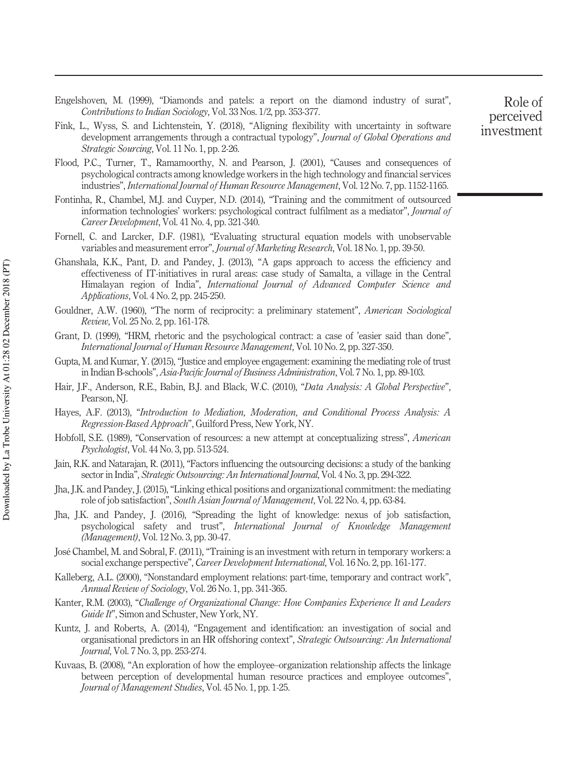- Engelshoven, M. (1999), "Diamonds and patels: a report on the diamond industry of surat", Contributions to Indian Sociology, Vol. 33 Nos. 1/2, pp. 353-377.
- Fink, L., Wyss, S. and Lichtenstein, Y. (2018), "Aligning flexibility with uncertainty in software development arrangements through a contractual typology", Journal of Global Operations and Strategic Sourcing, Vol. 11 No. 1, pp. 2-26.
- Flood, P.C., Turner, T., Ramamoorthy, N. and Pearson, J. (2001), "Causes and consequences of psychological contracts among knowledge workers in the high technology and financial services industries", International Journal of Human Resource Management, Vol. 12 No. 7, pp. 1152-1165.
- Fontinha, R., Chambel, M.J. and Cuyper, N.D. (2014), "Training and the commitment of outsourced information technologies' workers: psychological contract fulfilment as a mediator", Journal of Career Development, Vol. 41 No. 4, pp. 321-340.
- Fornell, C. and Larcker, D.F. (1981), "Evaluating structural equation models with unobservable variables and measurement error", Journal of Marketing Research, Vol. 18 No. 1, pp. 39-50.
- Ghanshala, K.K., Pant, D. and Pandey, J. (2013), "A gaps approach to access the efficiency and effectiveness of IT-initiatives in rural areas: case study of Samalta, a village in the Central Himalayan region of India", International Journal of Advanced Computer Science and Applications, Vol. 4 No. 2, pp. 245-250.
- Gouldner, A.W. (1960), "The norm of reciprocity: a preliminary statement", *American Sociological* Review, Vol. 25 No. 2, pp. 161-178.
- Grant, D. (1999), "HRM, rhetoric and the psychological contract: a case of 'easier said than done", International Journal of Human Resource Management, Vol. 10 No. 2, pp. 327-350.
- Gupta, M. and Kumar, Y. (2015), "Justice and employee engagement: examining the mediating role of trust in Indian B-schools", Asia-Pacific Journal of Business Administration, Vol. 7 No. 1, pp. 89-103.
- Hair, J.F., Anderson, R.E., Babin, B.J. and Black, W.C. (2010), "Data Analysis: A Global Perspective", Pearson, NJ.
- Hayes, A.F. (2013), "Introduction to Mediation, Moderation, and Conditional Process Analysis: A Regression-Based Approach", Guilford Press, New York, NY.
- Hobfoll, S.E. (1989), "Conservation of resources: a new attempt at conceptualizing stress", *American* Psychologist, Vol. 44 No. 3, pp. 513-524.
- Jain, R.K. and Natarajan, R. (2011), "Factors influencing the outsourcing decisions: a study of the banking sector in India", Strategic Outsourcing: An International Journal, Vol. 4 No. 3, pp. 294-322.
- Jha, J.K. and Pandey, J. (2015),"Linking ethical positions and organizational commitment: the mediating role of job satisfaction", South Asian Journal of Management, Vol. 22 No. 4, pp. 63-84.
- Jha, J.K. and Pandey, J. (2016), "Spreading the light of knowledge: nexus of job satisfaction, psychological safety and trust", International Journal of Knowledge Management (Management), Vol. 12 No. 3, pp. 30-47.
- José Chambel, M. and Sobral, F. (2011), "Training is an investment with return in temporary workers: a social exchange perspective", Career Development International, Vol. 16 No. 2, pp. 161-177.
- Kalleberg, A.L. (2000), "Nonstandard employment relations: part-time, temporary and contract work", Annual Review of Sociology, Vol. 26 No. 1, pp. 341-365.
- Kanter, R.M. (2003), "Challenge of Organizational Change: How Companies Experience It and Leaders Guide It", Simon and Schuster, New York, NY.
- Kuntz, J. and Roberts, A. (2014), "Engagement and identification: an investigation of social and organisational predictors in an HR offshoring context", Strategic Outsourcing: An International Journal, Vol. 7 No. 3, pp. 253-274.
- Kuvaas, B. (2008), "An exploration of how the employee–organization relationship affects the linkage between perception of developmental human resource practices and employee outcomes", Journal of Management Studies, Vol. 45 No. 1, pp. 1-25.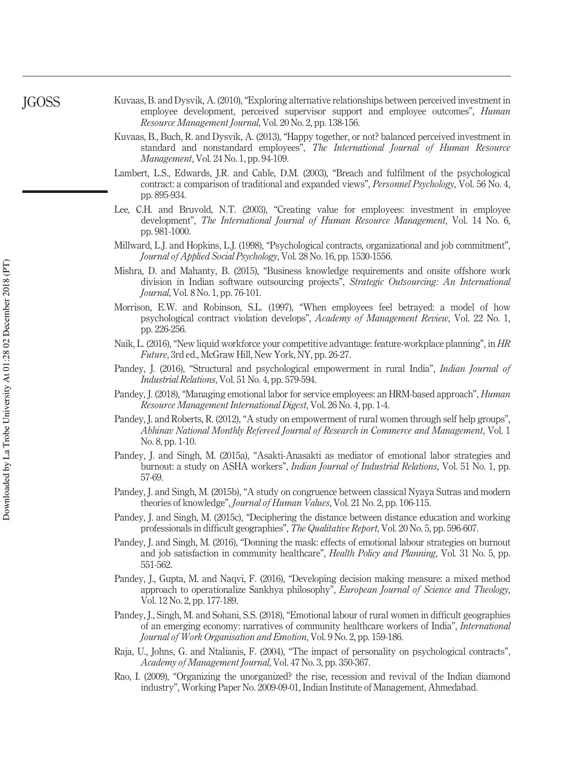| Kuvaas, B. and Dysvik, A. (2010), "Exploring alternative relationships between perceived investment in |  |  |  |  |
|--------------------------------------------------------------------------------------------------------|--|--|--|--|
| employee development, perceived supervisor support and employee outcomes", <i>Human</i>                |  |  |  |  |
| <i>Resource Management Journal, Vol. 20 No. 2, pp. 138-156.</i>                                        |  |  |  |  |

- Kuvaas, B., Buch, R. and Dysvik, A. (2013), "Happy together, or not? balanced perceived investment in standard and nonstandard employees", The International Journal of Human Resource Management, Vol. 24 No. 1, pp. 94-109.
- Lambert, L.S., Edwards, J.R. and Cable, D.M. (2003), "Breach and fulfilment of the psychological contract: a comparison of traditional and expanded views", *Personnel Psychology*, Vol. 56 No. 4, pp. 895-934.
- Lee, C.H. and Bruvold, N.T. (2003), "Creating value for employees: investment in employee development", The International Journal of Human Resource Management, Vol. 14 No. 6, pp. 981-1000.
- Millward, L.J. and Hopkins, L.J. (1998), "Psychological contracts, organizational and job commitment", Journal of Applied Social Psychology, Vol. 28 No. 16, pp. 1530-1556.
- Mishra, D. and Mahanty, B. (2015), "Business knowledge requirements and onsite offshore work division in Indian software outsourcing projects", Strategic Outsourcing: An International Journal, Vol. 8 No. 1, pp. 76-101.
- Morrison, E.W. and Robinson, S.L. (1997), "When employees feel betrayed: a model of how psychological contract violation develops", Academy of Management Review, Vol. 22 No. 1, pp. 226-256.
- Naik, L. (2016), "New liquid workforce your competitive advantage: feature-workplace planning", in HR Future, 3rd ed., McGraw Hill, New York, NY, pp. 26-27.
- Pandey, J. (2016), "Structural and psychological empowerment in rural India", *Indian Journal of* Industrial Relations, Vol. 51 No. 4, pp. 579-594.
- Pandey, J. (2018), "Managing emotional labor for service employees: an HRM-based approach", *Human* Resource Management International Digest, Vol. 26 No. 4, pp. 1-4.
- Pandey, J. and Roberts, R. (2012), "A study on empowerment of rural women through self help groups", Abhinav National Monthly Refereed Journal of Research in Commerce and Management, Vol. 1 No. 8, pp. 1-10.
- Pandey, J. and Singh, M. (2015a), "Asakti-Anasakti as mediator of emotional labor strategies and burnout: a study on ASHA workers", *Indian Journal of Industrial Relations*, Vol. 51 No. 1, pp. 57-69.
- Pandey, J. and Singh, M. (2015b), "A study on congruence between classical Nyaya Sutras and modern theories of knowledge", Journal of Human Values, Vol. 21 No. 2, pp. 106-115.
- Pandey, J. and Singh, M. (2015c), "Deciphering the distance between distance education and working professionals in difficult geographies", The Qualitative Report, Vol. 20 No. 5, pp. 596-607.
- Pandey, J. and Singh, M. (2016), "Donning the mask: effects of emotional labour strategies on burnout and job satisfaction in community healthcare", *Health Policy and Planning*, Vol. 31 No. 5, pp. 551-562.
- Pandey, J., Gupta, M. and Naqvi, F. (2016), "Developing decision making measure: a mixed method approach to operationalize Sankhya philosophy", European Journal of Science and Theology, Vol. 12 No. 2, pp. 177-189.
- Pandey, J., Singh, M. and Sohani, S.S. (2018), "Emotional labour of rural women in difficult geographies of an emerging economy: narratives of community healthcare workers of India", International Journal of Work Organisation and Emotion, Vol. 9 No. 2, pp. 159-186.
- Raja, U., Johns, G. and Ntalianis, F. (2004), "The impact of personality on psychological contracts", Academy of Management Journal, Vol. 47 No. 3, pp. 350-367.
- Rao, I. (2009), "Organizing the unorganized? the rise, recession and revival of the Indian diamond industry", Working Paper No. 2009-09-01, Indian Institute of Management, Ahmedabad.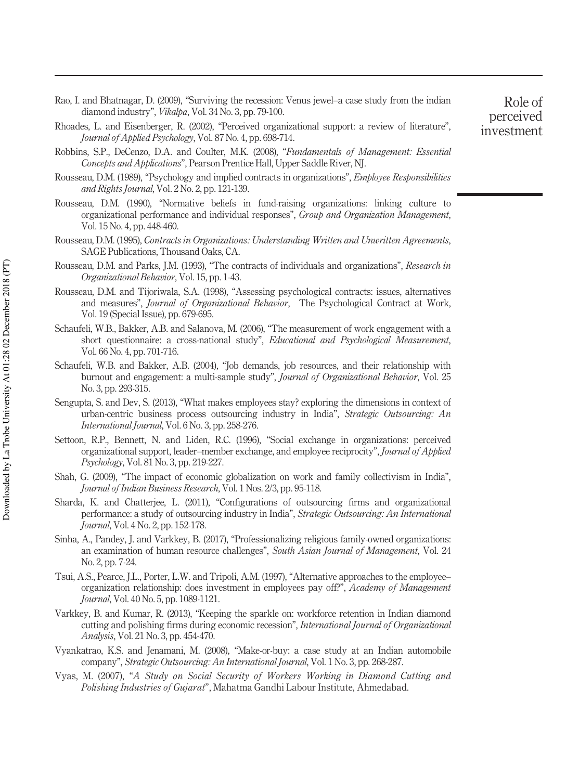- Rao, I. and Bhatnagar, D. (2009), "Surviving the recession: Venus jewel–a case study from the indian diamond industry", Vikalpa, Vol. 34 No. 3, pp. 79-100.
- Rhoades, L. and Eisenberger, R. (2002), "Perceived organizational support: a review of literature", Journal of Applied Psychology, Vol. 87 No. 4, pp. 698-714.
- Robbins, S.P., DeCenzo, D.A. and Coulter, M.K. (2008), "Fundamentals of Management: Essential Concepts and Applications", Pearson Prentice Hall, Upper Saddle River, NJ.
- Rousseau, D.M. (1989), "Psychology and implied contracts in organizations", Employee Responsibilities and Rights Journal, Vol. 2 No. 2, pp. 121-139.
- Rousseau, D.M. (1990), "Normative beliefs in fund-raising organizations: linking culture to organizational performance and individual responses", Group and Organization Management, Vol. 15 No. 4, pp. 448-460.
- Rousseau, D.M. (1995), Contracts in Organizations: Understanding Written and Unwritten Agreements, SAGE Publications, Thousand Oaks, CA.
- Rousseau, D.M. and Parks, J.M. (1993), "The contracts of individuals and organizations", Research in Organizational Behavior, Vol. 15, pp. 1-43.
- Rousseau, D.M. and Tijoriwala, S.A. (1998), "Assessing psychological contracts: issues, alternatives and measures", Journal of Organizational Behavior, The Psychological Contract at Work, Vol. 19 (Special Issue), pp. 679-695.
- Schaufeli, W.B., Bakker, A.B. and Salanova, M. (2006), "The measurement of work engagement with a short questionnaire: a cross-national study", Educational and Psychological Measurement, Vol. 66 No. 4, pp. 701-716.
- Schaufeli, W.B. and Bakker, A.B. (2004), "Job demands, job resources, and their relationship with burnout and engagement: a multi-sample study", Journal of Organizational Behavior, Vol. 25 No. 3, pp. 293-315.
- Sengupta, S. and Dev, S. (2013), "What makes employees stay? exploring the dimensions in context of urban-centric business process outsourcing industry in India", Strategic Outsourcing: An International Journal, Vol. 6 No. 3, pp. 258-276.
- Settoon, R.P., Bennett, N. and Liden, R.C. (1996), "Social exchange in organizations: perceived organizational support, leader–member exchange, and employee reciprocity", Journal of Applied Psychology, Vol. 81 No. 3, pp. 219-227.
- Shah, G. (2009), "The impact of economic globalization on work and family collectivism in India", Journal of Indian Business Research, Vol. 1 Nos. 2/3, pp. 95-118.
- Sharda, K. and Chatterjee, L. (2011), "Configurations of outsourcing firms and organizational performance: a study of outsourcing industry in India", Strategic Outsourcing: An International Journal, Vol. 4 No. 2, pp. 152-178.
- Sinha, A., Pandey, J. and Varkkey, B. (2017), "Professionalizing religious family-owned organizations: an examination of human resource challenges", South Asian Journal of Management, Vol. 24 No. 2, pp. 7-24.
- Tsui, A.S., Pearce, J.L., Porter, L.W. and Tripoli, A.M. (1997), "Alternative approaches to the employee– organization relationship: does investment in employees pay off?", Academy of Management Journal, Vol. 40 No. 5, pp. 1089-1121.
- Varkkey, B. and Kumar, R. (2013), "Keeping the sparkle on: workforce retention in Indian diamond cutting and polishing firms during economic recession", International Journal of Organizational Analysis, Vol. 21 No. 3, pp. 454-470.
- Vyankatrao, K.S. and Jenamani, M. (2008), "Make-or-buy: a case study at an Indian automobile company", Strategic Outsourcing: An International Journal, Vol. 1 No. 3, pp. 268-287.
- Vyas, M. (2007), "A Study on Social Security of Workers Working in Diamond Cutting and Polishing Industries of Gujarat", Mahatma Gandhi Labour Institute, Ahmedabad.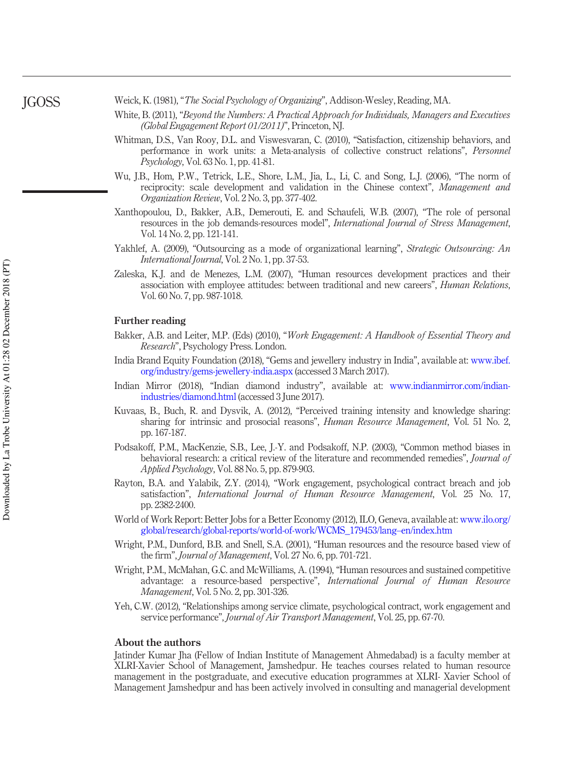Weick, K. (1981),"The Social Psychology of Organizing", Addison-Wesley, Reading, MA.

- White, B. (2011), "Beyond the Numbers: A Practical Approach for Individuals, Managers and Executives (Global Engagement Report 01/2011)", Princeton, NJ.
- Whitman, D.S., Van Rooy, D.L. and Viswesvaran, C. (2010), "Satisfaction, citizenship behaviors, and performance in work units: a Meta-analysis of collective construct relations", Personnel Psychology, Vol. 63 No. 1, pp. 41-81.
- Wu, J.B., Hom, P.W., Tetrick, L.E., Shore, L.M., Jia, L., Li, C. and Song, L.J. (2006), "The norm of reciprocity: scale development and validation in the Chinese context", Management and Organization Review, Vol. 2 No. 3, pp. 377-402.
- Xanthopoulou, D., Bakker, A.B., Demerouti, E. and Schaufeli, W.B. (2007), "The role of personal resources in the job demands-resources model", International Journal of Stress Management, Vol. 14 No. 2, pp. 121-141.
- Yakhlef, A. (2009), "Outsourcing as a mode of organizational learning", Strategic Outsourcing: An International Journal, Vol. 2 No. 1, pp. 37-53.
- Zaleska, K.J. and de Menezes, L.M. (2007), "Human resources development practices and their association with employee attitudes: between traditional and new careers", Human Relations, Vol. 60 No. 7, pp. 987-1018.

#### Further reading

- Bakker, A.B. and Leiter, M.P. (Eds) (2010), "Work Engagement: A Handbook of Essential Theory and Research", Psychology Press. London.
- India Brand Equity Foundation (2018), "Gems and jewellery industry in India", available at: www.ibef. org/industry/gems-jewellery-india.aspx (accessed 3 March 2017).
- Indian Mirror (2018), "Indian diamond industry", available at: www.indianmirror.com/indianindustries/diamond.html (accessed 3 June 2017).
- Kuvaas, B., Buch, R. and Dysvik, A. (2012), "Perceived training intensity and knowledge sharing: sharing for intrinsic and prosocial reasons", Human Resource Management, Vol. 51 No. 2, pp. 167-187.
- Podsakoff, P.M., MacKenzie, S.B., Lee, J.-Y. and Podsakoff, N.P. (2003), "Common method biases in behavioral research: a critical review of the literature and recommended remedies", *Journal of* Applied Psychology, Vol. 88 No. 5, pp. 879-903.
- Rayton, B.A. and Yalabik, Z.Y. (2014), "Work engagement, psychological contract breach and job satisfaction", International Journal of Human Resource Management, Vol. 25 No. 17, pp. 2382-2400.
- World of Work Report: Better Jobs for a Better Economy (2012), ILO, Geneva, available at: www.ilo.org/ global/research/global-reports/world-of-work/WCMS\_179453/lang–en/index.htm
- Wright, P.M., Dunford, B.B. and Snell, S.A. (2001), "Human resources and the resource based view of the firm", Journal of Management, Vol. 27 No. 6, pp. 701-721.
- Wright, P.M., McMahan, G.C. and McWilliams, A. (1994), "Human resources and sustained competitive advantage: a resource-based perspective", International Journal of Human Resource Management, Vol. 5 No. 2, pp. 301-326.
- Yeh, C.W. (2012), "Relationships among service climate, psychological contract, work engagement and service performance", Journal of Air Transport Management, Vol. 25, pp. 67-70.

#### About the authors

Jatinder Kumar Jha (Fellow of Indian Institute of Management Ahmedabad) is a faculty member at XLRI-Xavier School of Management, Jamshedpur. He teaches courses related to human resource management in the postgraduate, and executive education programmes at XLRI- Xavier School of Management Jamshedpur and has been actively involved in consulting and managerial development